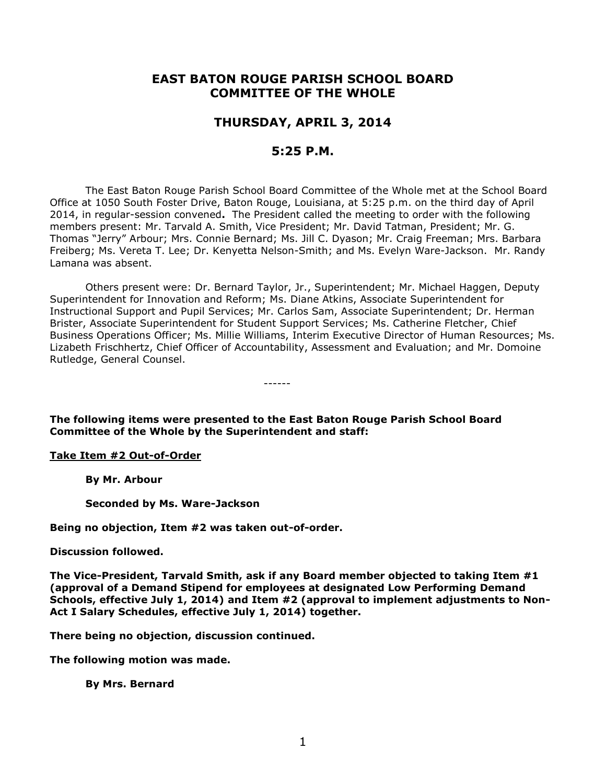# **EAST BATON ROUGE PARISH SCHOOL BOARD COMMITTEE OF THE WHOLE**

# **THURSDAY, APRIL 3, 2014**

# **5:25 P.M.**

The East Baton Rouge Parish School Board Committee of the Whole met at the School Board Office at 1050 South Foster Drive, Baton Rouge, Louisiana, at 5:25 p.m. on the third day of April 2014, in regular-session convened**.** The President called the meeting to order with the following members present: Mr. Tarvald A. Smith, Vice President; Mr. David Tatman, President; Mr. G. Thomas "Jerry" Arbour; Mrs. Connie Bernard; Ms. Jill C. Dyason; Mr. Craig Freeman; Mrs. Barbara Freiberg; Ms. Vereta T. Lee; Dr. Kenyetta Nelson-Smith; and Ms. Evelyn Ware-Jackson. Mr. Randy Lamana was absent.

Others present were: Dr. Bernard Taylor, Jr., Superintendent; Mr. Michael Haggen, Deputy Superintendent for Innovation and Reform; Ms. Diane Atkins, Associate Superintendent for Instructional Support and Pupil Services; Mr. Carlos Sam, Associate Superintendent; Dr. Herman Brister, Associate Superintendent for Student Support Services; Ms. Catherine Fletcher, Chief Business Operations Officer; Ms. Millie Williams, Interim Executive Director of Human Resources; Ms. Lizabeth Frischhertz, Chief Officer of Accountability, Assessment and Evaluation; and Mr. Domoine Rutledge, General Counsel.

**The following items were presented to the East Baton Rouge Parish School Board Committee of the Whole by the Superintendent and staff:**

------

#### **Take Item #2 Out-of-Order**

**By Mr. Arbour**

**Seconded by Ms. Ware-Jackson**

**Being no objection, Item #2 was taken out-of-order.**

#### **Discussion followed.**

**The Vice-President, Tarvald Smith, ask if any Board member objected to taking Item #1 (approval of a Demand Stipend for employees at designated Low Performing Demand Schools, effective July 1, 2014) and Item #2 (approval to implement adjustments to Non-Act I Salary Schedules, effective July 1, 2014) together.** 

**There being no objection, discussion continued.**

**The following motion was made.**

**By Mrs. Bernard**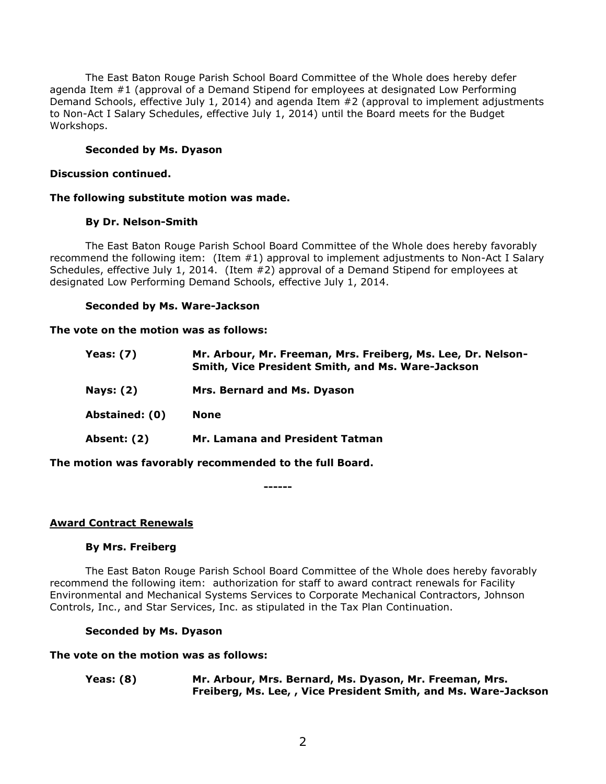The East Baton Rouge Parish School Board Committee of the Whole does hereby defer agenda Item #1 (approval of a Demand Stipend for employees at designated Low Performing Demand Schools, effective July 1, 2014) and agenda Item #2 (approval to implement adjustments to Non-Act I Salary Schedules, effective July 1, 2014) until the Board meets for the Budget Workshops.

# **Seconded by Ms. Dyason**

#### **Discussion continued.**

#### **The following substitute motion was made.**

#### **By Dr. Nelson-Smith**

The East Baton Rouge Parish School Board Committee of the Whole does hereby favorably recommend the following item: (Item #1) approval to implement adjustments to Non-Act I Salary Schedules, effective July 1, 2014. (Item #2) approval of a Demand Stipend for employees at designated Low Performing Demand Schools, effective July 1, 2014.

#### **Seconded by Ms. Ware-Jackson**

#### **The vote on the motion was as follows:**

| Yeas: (7)          | Mr. Arbour, Mr. Freeman, Mrs. Freiberg, Ms. Lee, Dr. Nelson-<br>Smith, Vice President Smith, and Ms. Ware-Jackson |
|--------------------|-------------------------------------------------------------------------------------------------------------------|
| <b>Nays: (2)</b>   | Mrs. Bernard and Ms. Dyason                                                                                       |
| Abstained: (0)     | None                                                                                                              |
| <b>Absent: (2)</b> | Mr. Lamana and President Tatman                                                                                   |
|                    |                                                                                                                   |

**The motion was favorably recommended to the full Board.**

**------**

## **Award Contract Renewals**

#### **By Mrs. Freiberg**

The East Baton Rouge Parish School Board Committee of the Whole does hereby favorably recommend the following item: authorization for staff to award contract renewals for Facility Environmental and Mechanical Systems Services to Corporate Mechanical Contractors, Johnson Controls, Inc., and Star Services, Inc. as stipulated in the Tax Plan Continuation.

## **Seconded by Ms. Dyason**

#### **The vote on the motion was as follows:**

**Yeas: (8) Mr. Arbour, Mrs. Bernard, Ms. Dyason, Mr. Freeman, Mrs. Freiberg, Ms. Lee, , Vice President Smith, and Ms. Ware-Jackson**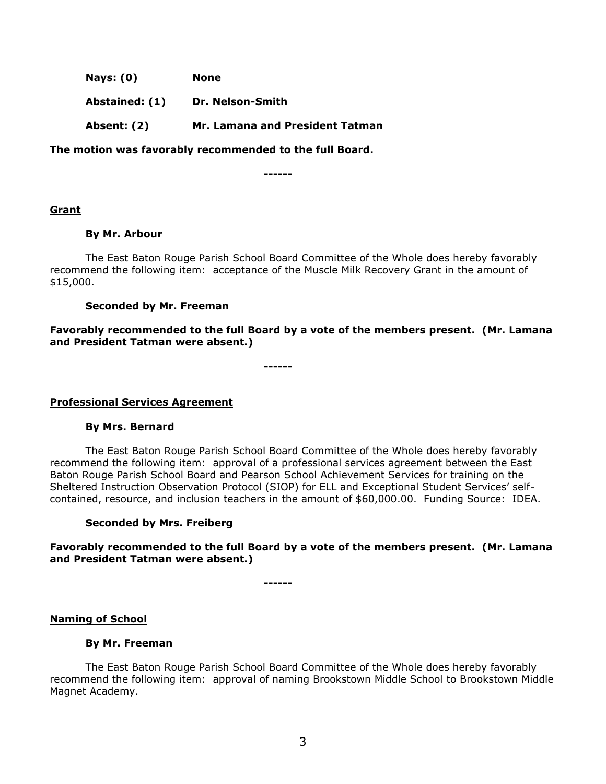| <b>Nays: (0)</b> | None                            |
|------------------|---------------------------------|
| Abstained: (1)   | Dr. Nelson-Smith                |
| Absent: (2)      | Mr. Lamana and President Tatman |

**The motion was favorably recommended to the full Board.**

**------**

## **Grant**

#### **By Mr. Arbour**

The East Baton Rouge Parish School Board Committee of the Whole does hereby favorably recommend the following item: acceptance of the Muscle Milk Recovery Grant in the amount of \$15,000.

## **Seconded by Mr. Freeman**

**Favorably recommended to the full Board by a vote of the members present. (Mr. Lamana and President Tatman were absent.)**

**------**

## **Professional Services Agreement**

## **By Mrs. Bernard**

The East Baton Rouge Parish School Board Committee of the Whole does hereby favorably recommend the following item: approval of a professional services agreement between the East Baton Rouge Parish School Board and Pearson School Achievement Services for training on the Sheltered Instruction Observation Protocol (SIOP) for ELL and Exceptional Student Services' selfcontained, resource, and inclusion teachers in the amount of \$60,000.00. Funding Source: IDEA.

## **Seconded by Mrs. Freiberg**

## **Favorably recommended to the full Board by a vote of the members present. (Mr. Lamana and President Tatman were absent.)**

**------**

## **Naming of School**

## **By Mr. Freeman**

The East Baton Rouge Parish School Board Committee of the Whole does hereby favorably recommend the following item: approval of naming Brookstown Middle School to Brookstown Middle Magnet Academy.